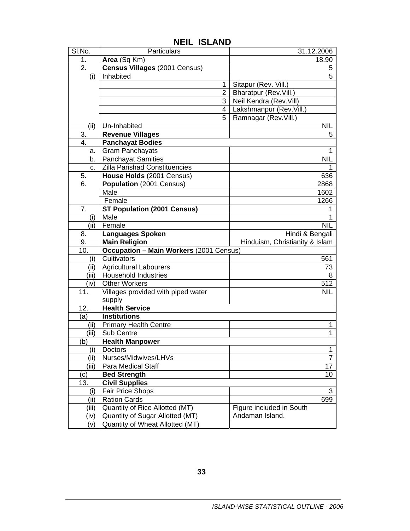| SI.No.      | Particulars                                                        | 31.12.2006                     |
|-------------|--------------------------------------------------------------------|--------------------------------|
| 1.          | Area (Sq Km)                                                       | 18.90                          |
| 2.          | Census Villages (2001 Census)                                      | 5                              |
| (i)         | Inhabited                                                          | 5                              |
|             | 1                                                                  | Sitapur (Rev. Vill.)           |
|             | $\overline{2}$                                                     | Bharatpur (Rev.Vill.)          |
|             | 3                                                                  | Neil Kendra (Rev. Vill)        |
|             | 4                                                                  | Lakshmanpur (Rev.Vill.)        |
|             | 5                                                                  | Ramnagar (Rev.Vill.)           |
| (ii)        | Un-Inhabited                                                       | <b>NIL</b>                     |
| 3.          | <b>Revenue Villages</b>                                            | 5                              |
| 4.          | <b>Panchayat Bodies</b>                                            |                                |
| а.          | <b>Gram Panchayats</b>                                             | 1                              |
| b.          | <b>Panchayat Samities</b>                                          | <b>NIL</b>                     |
| C.          | Zilla Parishad Constituencies                                      | 1                              |
| 5.          | House Holds (2001 Census)                                          | 636                            |
| 6.          | Population (2001 Census)                                           | 2868                           |
|             | Male                                                               | 1602                           |
|             | Female                                                             | 1266                           |
| 7.          | <b>ST Population (2001 Census)</b>                                 | 1                              |
| (i)         | Male                                                               | 1                              |
| (ii)        | Female                                                             | <b>NIL</b>                     |
| 8.          | <b>Languages Spoken</b>                                            | Hindi & Bengali                |
|             |                                                                    |                                |
| 9.          | <b>Main Religion</b>                                               | Hinduism, Christianity & Islam |
| 10.         | <b>Occupation - Main Workers (2001 Census)</b>                     |                                |
| (i)         | Cultivators                                                        | 561                            |
| (ii)        | <b>Agricultural Labourers</b>                                      | 73                             |
| (iii)       | <b>Household Industries</b>                                        | 8                              |
| (iv)        | <b>Other Workers</b>                                               | 512                            |
| 11.         | Villages provided with piped water                                 | <b>NIL</b>                     |
|             | supply                                                             |                                |
| 12.         | <b>Health Service</b>                                              |                                |
| (a)         | <b>Institutions</b>                                                |                                |
| (ii)        | <b>Primary Health Centre</b>                                       | $\mathbf{1}$                   |
| (iii)       | Sub Centre                                                         | 1                              |
| (b)         | <b>Health Manpower</b>                                             |                                |
| (i)         | Doctors                                                            | 4                              |
| (ii)        | Nurses/Midwives/LHVs                                               | 7                              |
| (iii)       | Para Medical Staff                                                 | 17                             |
| (c)         | <b>Bed Strength</b>                                                | 10                             |
| 13.         | <b>Civil Supplies</b>                                              |                                |
| (i)         | <b>Fair Price Shops</b>                                            | 3                              |
| (ii)        | <b>Ration Cards</b>                                                | 699                            |
| (iii)       | Quantity of Rice Allotted (MT)                                     | Figure included in South       |
| (iv)<br>(v) | Quantity of Sugar Allotted (MT)<br>Quantity of Wheat Allotted (MT) | Andaman Island.                |

## **NEIL ISLAND**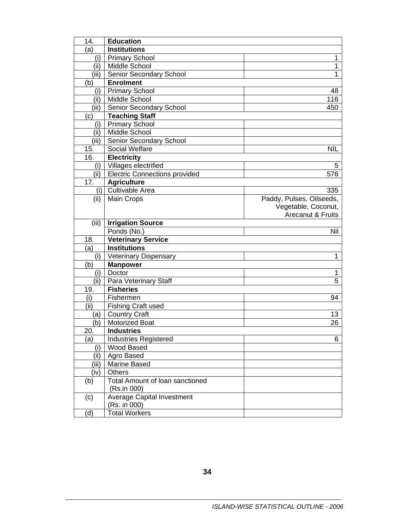| 14.   | <b>Education</b>                       |                          |
|-------|----------------------------------------|--------------------------|
| (a)   | <b>Institutions</b>                    |                          |
| (i)   | <b>Primary School</b>                  | 1                        |
| (ii)  | Middle School                          | 1                        |
| (iii) | Senior Secondary School                | 1                        |
| (b)   | <b>Enrolment</b>                       |                          |
| (i)   | <b>Primary School</b>                  | 48                       |
| (ii)  | Middle School                          | 116                      |
| (iii) | Senior Secondary School                | 450                      |
| (c)   | <b>Teaching Staff</b>                  |                          |
| (i)   | <b>Primary School</b>                  |                          |
| (ii)  | Middle School                          |                          |
| (iii) | Senior Secondary School                |                          |
| 15.   | Social Welfare                         | <b>NIL</b>               |
| 16.   | <b>Electricity</b>                     |                          |
|       | (i)   Villages electrified             | 5                        |
| (ii)  | <b>Electric Connections provided</b>   | 576                      |
| 17.   | <b>Agriculture</b>                     |                          |
|       | (i) Cultivable Area                    | 335                      |
| (ii)  | Main Crops                             | Paddy, Pulses, Oilseeds, |
|       |                                        | Vegetable, Coconut,      |
|       |                                        | Arecanut & Fruits        |
| (iii) | <b>Irrigation Source</b>               |                          |
|       | Ponds (No.)                            | Nil                      |
| 18.   | <b>Veterinary Service</b>              |                          |
| (a)   | <b>Institutions</b>                    |                          |
| (i)   | <b>Veterinary Dispensary</b>           | 1                        |
| (b)   | <b>Manpower</b>                        |                          |
| (i)   | Doctor                                 | 1                        |
| (ii)  | Para Veterinary Staff                  | 5                        |
| 19.   | <b>Fisheries</b>                       |                          |
| (i)   | Fishermen                              | 94                       |
| (ii)  | <b>Fishing Craft used</b>              |                          |
| (a)   | <b>Country Craft</b>                   | 13                       |
| (b)   | <b>Motorized Boat</b>                  | 26                       |
| 20.   | <b>Industries</b>                      |                          |
| (a)   | <b>Industries Registered</b>           | 6                        |
| (i)   | Wood Based                             |                          |
| (ii)  | Agro Based                             |                          |
| (iii) | Marine Based                           |                          |
| (iv)  | <b>Others</b>                          |                          |
| (b)   | <b>Total Amount of loan sanctioned</b> |                          |
|       | (Rs.in 000)                            |                          |
| (c)   | <b>Average Capital Investment</b>      |                          |
|       | (Rs. in 000)                           |                          |
| (d)   | <b>Total Workers</b>                   |                          |